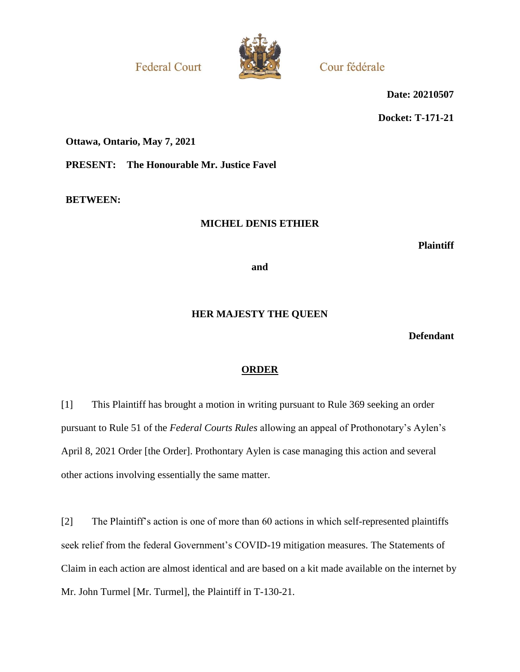**Federal Court** 



Cour fédérale

**Date: 20210507**

**Docket: T-171-21**

**Ottawa, Ontario, May 7, 2021**

**PRESENT: The Honourable Mr. Justice Favel**

**BETWEEN:**

## **MICHEL DENIS ETHIER**

**Plaintiff**

**and**

## **HER MAJESTY THE QUEEN**

**Defendant**

# **ORDER**

[1] This Plaintiff has brought a motion in writing pursuant to Rule 369 seeking an order pursuant to Rule 51 of the *Federal Courts Rules* allowing an appeal of Prothonotary's Aylen's April 8, 2021 Order [the Order]. Prothontary Aylen is case managing this action and several other actions involving essentially the same matter.

[2] The Plaintiff's action is one of more than 60 actions in which self-represented plaintiffs seek relief from the federal Government's COVID-19 mitigation measures. The Statements of Claim in each action are almost identical and are based on a kit made available on the internet by Mr. John Turmel [Mr. Turmel], the Plaintiff in T-130-21.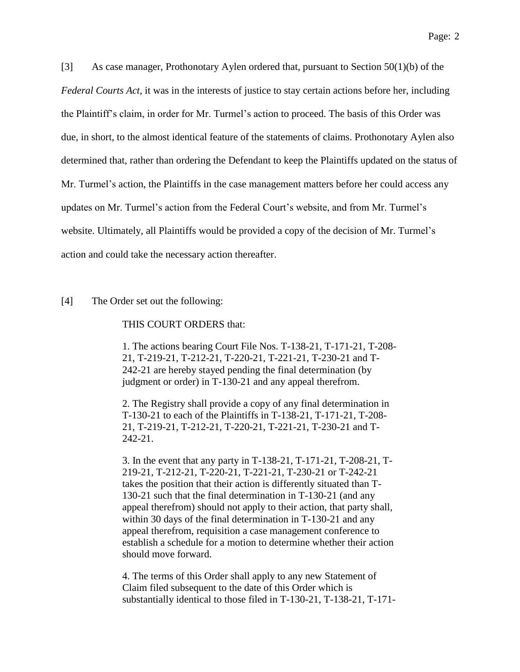[3] As case manager, Prothonotary Aylen ordered that, pursuant to Section 50(1)(b) of the *Federal Courts Act*, it was in the interests of justice to stay certain actions before her, including the Plaintiff's claim, in order for Mr. Turmel's action to proceed. The basis of this Order was due, in short, to the almost identical feature of the statements of claims. Prothonotary Aylen also determined that, rather than ordering the Defendant to keep the Plaintiffs updated on the status of Mr. Turmel's action, the Plaintiffs in the case management matters before her could access any updates on Mr. Turmel's action from the Federal Court's website, and from Mr. Turmel's website. Ultimately, all Plaintiffs would be provided a copy of the decision of Mr. Turmel's action and could take the necessary action thereafter.

#### [4] The Order set out the following:

#### THIS COURT ORDERS that:

1. The actions bearing Court File Nos. T-138-21, T-171-21, T-208- 21, T-219-21, T-212-21, T-220-21, T-221-21, T-230-21 and T-242-21 are hereby stayed pending the final determination (by judgment or order) in T-130-21 and any appeal therefrom.

2. The Registry shall provide a copy of any final determination in T-130-21 to each of the Plaintiffs in T-138-21, T-171-21, T-208- 21, T-219-21, T-212-21, T-220-21, T-221-21, T-230-21 and T-242-21.

3. In the event that any party in T-138-21, T-171-21, T-208-21, T-219-21, T-212-21, T-220-21, T-221-21, T-230-21 or T-242-21 takes the position that their action is differently situated than T-130-21 such that the final determination in T-130-21 (and any appeal therefrom) should not apply to their action, that party shall, within 30 days of the final determination in T-130-21 and any appeal therefrom, requisition a case management conference to establish a schedule for a motion to determine whether their action should move forward.

4. The terms of this Order shall apply to any new Statement of Claim filed subsequent to the date of this Order which is substantially identical to those filed in T-130-21, T-138-21, T-171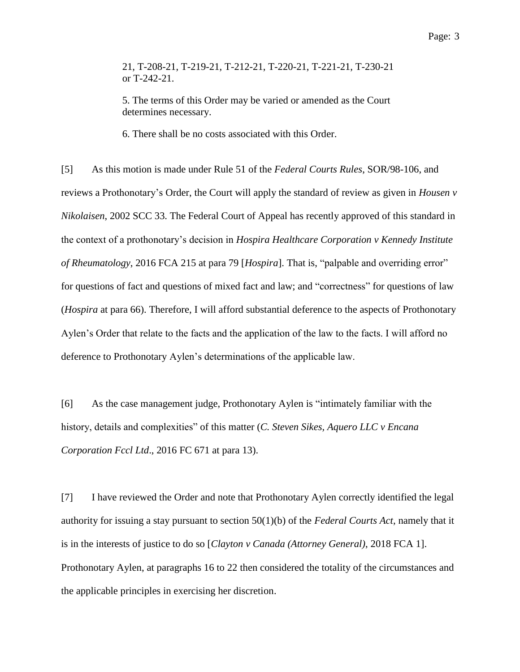21, T-208-21, T-219-21, T-212-21, T-220-21, T-221-21, T-230-21 or T-242-21.

5. The terms of this Order may be varied or amended as the Court determines necessary.

6. There shall be no costs associated with this Order.

[5] As this motion is made under Rule 51 of the *Federal Courts Rules*, SOR/98-106, and reviews a Prothonotary's Order, the Court will apply the standard of review as given in *Housen v Nikolaisen*, 2002 SCC 33. The Federal Court of Appeal has recently approved of this standard in the context of a prothonotary's decision in *Hospira Healthcare Corporation v Kennedy Institute of Rheumatology*, 2016 FCA 215 at para 79 [*Hospira*]. That is, "palpable and overriding error" for questions of fact and questions of mixed fact and law; and "correctness" for questions of law (*Hospira* at para 66). Therefore, I will afford substantial deference to the aspects of Prothonotary Aylen's Order that relate to the facts and the application of the law to the facts. I will afford no deference to Prothonotary Aylen's determinations of the applicable law.

[6] As the case management judge, Prothonotary Aylen is "intimately familiar with the history, details and complexities" of this matter (*C. Steven Sikes, Aquero LLC v Encana Corporation Fccl Ltd*., 2016 FC 671 at para 13).

[7] I have reviewed the Order and note that Prothonotary Aylen correctly identified the legal authority for issuing a stay pursuant to section 50(1)(b) of the *Federal Courts Act*, namely that it is in the interests of justice to do so [*Clayton v Canada (Attorney General)*, 2018 FCA 1]. Prothonotary Aylen, at paragraphs 16 to 22 then considered the totality of the circumstances and the applicable principles in exercising her discretion.